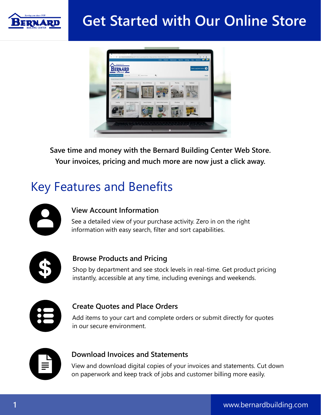

### **Get Started with Our Online Store**



**Save time and money with the Bernard Building Center Web Store. Your invoices, pricing and much more are now just a click away.**

### Key Features and Benefits



#### **View Account Information**

See a detailed view of your purchase activity. Zero in on the right information with easy search, filter and sort capabilities.



#### **Browse Products and Pricing**

Shop by department and see stock levels in real-time. Get product pricing instantly, accessible at any time, including evenings and weekends.



#### **Create Quotes and Place Orders**

Add items to your cart and complete orders or submit directly for quotes in our secure environment.



#### **Download Invoices and Statements**

View and download digital copies of your invoices and statements. Cut down on paperwork and keep track of jobs and customer billing more easily.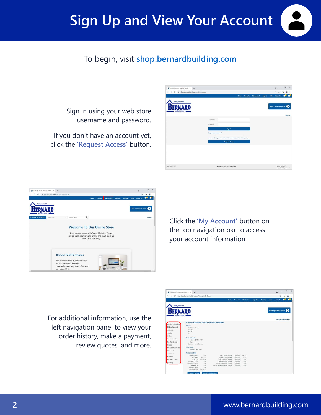# **Sign Up and View Your Account**

### To begin, visit **[shop.bernardbuilding.com](https://shop.bernardbuilding.com/)**

Sign in using your web store username and password.

If you don't have an account yet, click the **'Request Access'** button.





Click the **'My Account'** button on the top navigation bar to access your account information.

For additional information, use the left navigation panel to view your order history, make a payment, review quotes, and more.

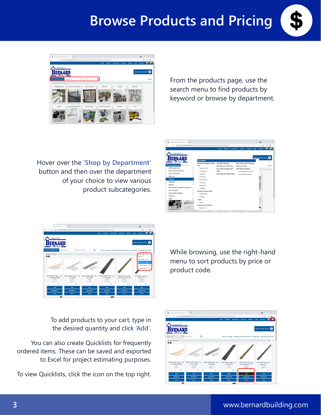# **Browse Products and Pricing**





From the products page, use the search menu to find products by keyword or browse by department.

Hover over the **'Shop by Department'**  button and then over the department of your choice to view various product subcategories.





To add products to your cart, type in the desired quantity and click **'Add'**.

You can also create Quicklists for frequently ordered items. These can be saved and exported to Excel for project estimating purposes.

To view Quicklists, click the icon on the top right.

While browsing, use the right-hand menu to sort products by price or product code.

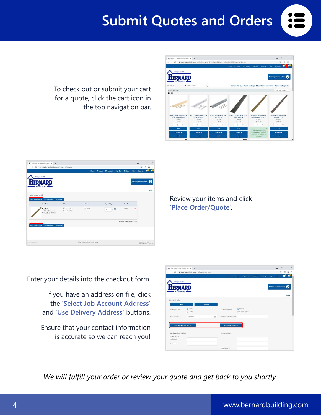### **Submit Quotes and Orders**

To check out or submit your cart for a quote, click the cart icon in the top navigation bar.



| # shop.bernardbuilding.com/ShoppingCartaspx<br>Ħ.<br><b>2 :</b><br>о<br><b>About Us</b><br>Sign Out<br><b>Settings</b><br>Help<br><b>Home</b><br><b>Products</b><br>My Account<br>Make a payment online<br>Home<br>Shop for More<br><b>Empty Cart</b><br>Price<br>Stock<br>Quantity<br>Total<br>$\pmb{\times}$<br>Bernard B C - Hale<br>\$7,19 PC<br>\$21.57<br>R <sub>2</sub><br>$\overline{3}$<br>In stock 1 PC<br>Antique Brass 36" X 2"<br>Subtotal (without Tax) \$21.57 |                                        | Your Cart   Bernard Building Cent. X<br>$+$ |  |  |  | $\circ$       |  |
|-------------------------------------------------------------------------------------------------------------------------------------------------------------------------------------------------------------------------------------------------------------------------------------------------------------------------------------------------------------------------------------------------------------------------------------------------------------------------------|----------------------------------------|---------------------------------------------|--|--|--|---------------|--|
|                                                                                                                                                                                                                                                                                                                                                                                                                                                                               | C<br>$\leftarrow$<br>$\rightarrow$     |                                             |  |  |  | $\frac{1}{2}$ |  |
|                                                                                                                                                                                                                                                                                                                                                                                                                                                                               |                                        |                                             |  |  |  |               |  |
|                                                                                                                                                                                                                                                                                                                                                                                                                                                                               |                                        | Serving you since 1958                      |  |  |  |               |  |
|                                                                                                                                                                                                                                                                                                                                                                                                                                                                               |                                        |                                             |  |  |  |               |  |
|                                                                                                                                                                                                                                                                                                                                                                                                                                                                               |                                        |                                             |  |  |  |               |  |
|                                                                                                                                                                                                                                                                                                                                                                                                                                                                               |                                        |                                             |  |  |  |               |  |
|                                                                                                                                                                                                                                                                                                                                                                                                                                                                               |                                        |                                             |  |  |  |               |  |
|                                                                                                                                                                                                                                                                                                                                                                                                                                                                               |                                        |                                             |  |  |  |               |  |
|                                                                                                                                                                                                                                                                                                                                                                                                                                                                               | Items in your cart: 1                  |                                             |  |  |  |               |  |
|                                                                                                                                                                                                                                                                                                                                                                                                                                                                               |                                        |                                             |  |  |  |               |  |
|                                                                                                                                                                                                                                                                                                                                                                                                                                                                               | Place Order/Quote                      |                                             |  |  |  |               |  |
|                                                                                                                                                                                                                                                                                                                                                                                                                                                                               |                                        | Product                                     |  |  |  |               |  |
|                                                                                                                                                                                                                                                                                                                                                                                                                                                                               |                                        | 3168135                                     |  |  |  |               |  |
|                                                                                                                                                                                                                                                                                                                                                                                                                                                                               |                                        | M-D 43381 Carpet Trim,                      |  |  |  |               |  |
|                                                                                                                                                                                                                                                                                                                                                                                                                                                                               |                                        |                                             |  |  |  |               |  |
|                                                                                                                                                                                                                                                                                                                                                                                                                                                                               |                                        |                                             |  |  |  |               |  |
|                                                                                                                                                                                                                                                                                                                                                                                                                                                                               |                                        |                                             |  |  |  |               |  |
|                                                                                                                                                                                                                                                                                                                                                                                                                                                                               |                                        |                                             |  |  |  |               |  |
|                                                                                                                                                                                                                                                                                                                                                                                                                                                                               |                                        |                                             |  |  |  |               |  |
| <b>Empty Cart</b>                                                                                                                                                                                                                                                                                                                                                                                                                                                             |                                        |                                             |  |  |  |               |  |
|                                                                                                                                                                                                                                                                                                                                                                                                                                                                               |                                        | Shop for More                               |  |  |  |               |  |
|                                                                                                                                                                                                                                                                                                                                                                                                                                                                               |                                        |                                             |  |  |  |               |  |
|                                                                                                                                                                                                                                                                                                                                                                                                                                                                               |                                        |                                             |  |  |  |               |  |
|                                                                                                                                                                                                                                                                                                                                                                                                                                                                               |                                        |                                             |  |  |  |               |  |
|                                                                                                                                                                                                                                                                                                                                                                                                                                                                               |                                        |                                             |  |  |  |               |  |
| Site content @ 2021<br>Terms and Conditions   Privacy Policy<br>Bernard Building Center, Inc.                                                                                                                                                                                                                                                                                                                                                                                 | Place Order/Quote<br>Web Track 6.5.165 |                                             |  |  |  |               |  |

Review your items and click **'Place Order/Quote'**.

Enter your details into the checkout form.

If you have an address on file, click the **'Select Job Account Address'** and **'Use Delivery Address'** buttons.

Ensure that your contact information is accurate so we can reach you!



*We will fulfill your order or review your quote and get back to you shortly.*